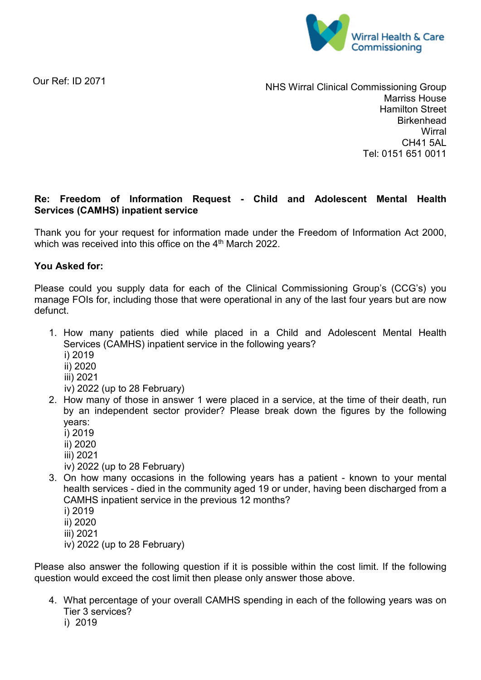

Our Ref: ID 2071

NHS Wirral Clinical Commissioning Group Marriss House Hamilton Street **Birkenhead Wirral** CH41 5AL Tel: 0151 651 0011

# **Re: Freedom of Information Request - Child and Adolescent Mental Health Services (CAMHS) inpatient service**

Thank you for your request for information made under the Freedom of Information Act 2000, which was received into this office on the 4<sup>th</sup> March 2022.

## **You Asked for:**

Please could you supply data for each of the Clinical Commissioning Group's (CCG's) you manage FOIs for, including those that were operational in any of the last four years but are now defunct.

- 1. How many patients died while placed in a Child and Adolescent Mental Health Services (CAMHS) inpatient service in the following years?
	- i) 2019
	- ii) 2020
	- iii) 2021
	- iv) 2022 (up to 28 February)
- 2. How many of those in answer 1 were placed in a service, at the time of their death, run by an independent sector provider? Please break down the figures by the following years:
	- i) 2019
	- ii) 2020
	- iii) 2021
	- iv) 2022 (up to 28 February)
- 3. On how many occasions in the following years has a patient known to your mental health services - died in the community aged 19 or under, having been discharged from a CAMHS inpatient service in the previous 12 months?
	- i) 2019
	- ii) 2020
	- iii) 2021
	- iv) 2022 (up to 28 February)

Please also answer the following question if it is possible within the cost limit. If the following question would exceed the cost limit then please only answer those above.

- 4. What percentage of your overall CAMHS spending in each of the following years was on Tier 3 services?
	- i) 2019